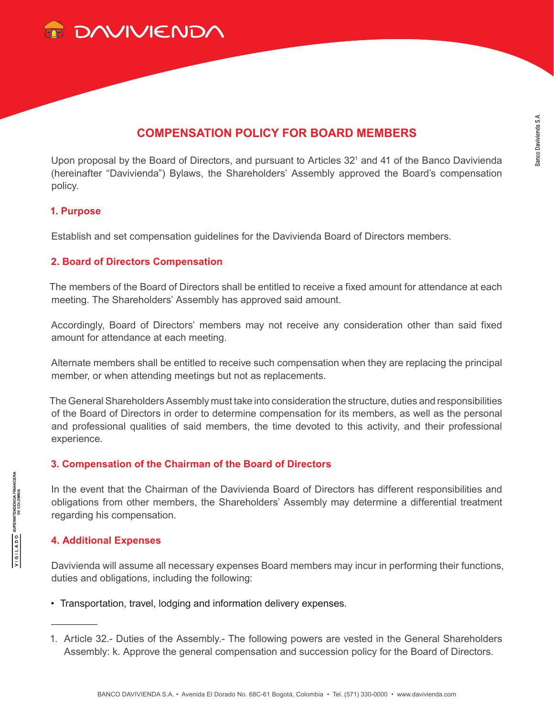

# **COMPENSATION POLICY FOR BOARD MEMBERS**

Upon proposal by the Board of Directors, and pursuant to Articles 32<sup>1</sup> and 41 of the Banco Davivienda (hereinafter "Davivienda") Bylaws, the Shareholders' Assembly approved the Board's compensation policy.

## **1. Purpose**

Establish and set compensation guidelines for the Davivienda Board of Directors members.

## **2. Board of Directors Compensation**

The members of the Board of Directors shall be entitled to receive a fixed amount for attendance at each meeting. The Shareholders' Assembly has approved said amount.

Accordingly, Board of Directors' members may not receive any consideration other than said fixed amount for attendance at each meeting.

Alternate members shall be entitled to receive such compensation when they are replacing the principal member, or when attending meetings but not as replacements.

The General Shareholders Assembly must take into consideration the structure, duties and responsibilities of the Board of Directors in order to determine compensation for its members, as well as the personal and professional qualities of said members, the time devoted to this activity, and their professional experience.

### **3. Compensation of the Chairman of the Board of Directors**

In the event that the Chairman of the Davivienda Board of Directors has different responsibilities and obligations from other members, the Shareholders' Assembly may determine a differential treatment regarding his compensation.

### **4. Additional Expenses**

Davivienda will assume all necessary expenses Board members may incur in performing their functions, duties and obligations, including the following:

- Transportation, travel, lodging and information delivery expenses.
- 1. Article 32.- Duties of the Assembly.- The following powers are vested in the General Shareholders Assembly: k. Approve the general compensation and succession policy for the Board of Directors.

**SUPERINTENDENCIA FINANCIERA**<br>DE COLOMBIA

OQV1191A